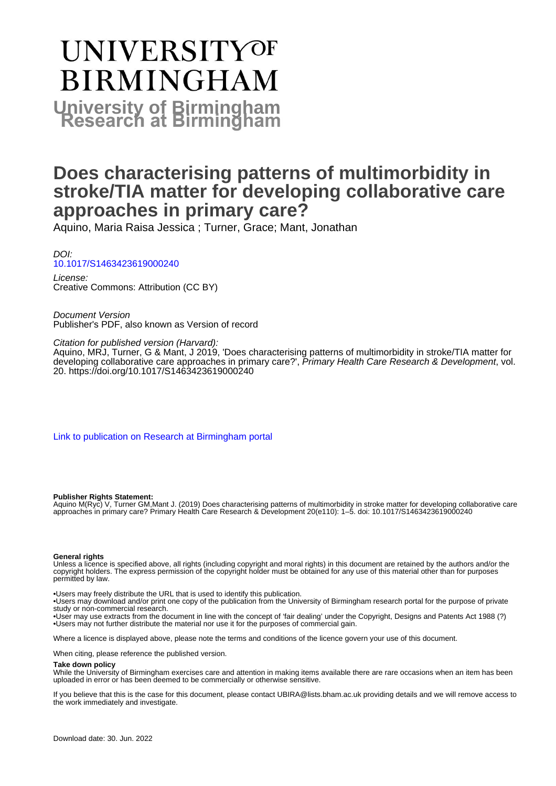# **UNIVERSITYOF BIRMINGHAM University of Birmingham**

# **Does characterising patterns of multimorbidity in stroke/TIA matter for developing collaborative care approaches in primary care?**

Aquino, Maria Raisa Jessica ; Turner, Grace; Mant, Jonathan

DOI: [10.1017/S1463423619000240](https://doi.org/10.1017/S1463423619000240)

License: Creative Commons: Attribution (CC BY)

Document Version Publisher's PDF, also known as Version of record

Citation for published version (Harvard):

Aquino, MRJ, Turner, G & Mant, J 2019, 'Does characterising patterns of multimorbidity in stroke/TIA matter for developing collaborative care approaches in primary care?', Primary Health Care Research & Development, vol. 20. <https://doi.org/10.1017/S1463423619000240>

[Link to publication on Research at Birmingham portal](https://birmingham.elsevierpure.com/en/publications/34ad3b6a-8104-4724-9736-aa7f3ad2b5b2)

#### **Publisher Rights Statement:**

Aquino M(Ryc) V, Turner GM,Mant J. (2019) Does characterising patterns of multimorbidity in stroke matter for developing collaborative care approaches in primary care? Primary Health Care Research & Development 20(e110): 1–5. doi: 10.1017/S1463423619000240

#### **General rights**

Unless a licence is specified above, all rights (including copyright and moral rights) in this document are retained by the authors and/or the copyright holders. The express permission of the copyright holder must be obtained for any use of this material other than for purposes permitted by law.

• Users may freely distribute the URL that is used to identify this publication.

• Users may download and/or print one copy of the publication from the University of Birmingham research portal for the purpose of private study or non-commercial research.

• User may use extracts from the document in line with the concept of 'fair dealing' under the Copyright, Designs and Patents Act 1988 (?) • Users may not further distribute the material nor use it for the purposes of commercial gain.

Where a licence is displayed above, please note the terms and conditions of the licence govern your use of this document.

When citing, please reference the published version.

#### **Take down policy**

While the University of Birmingham exercises care and attention in making items available there are rare occasions when an item has been uploaded in error or has been deemed to be commercially or otherwise sensitive.

If you believe that this is the case for this document, please contact UBIRA@lists.bham.ac.uk providing details and we will remove access to the work immediately and investigate.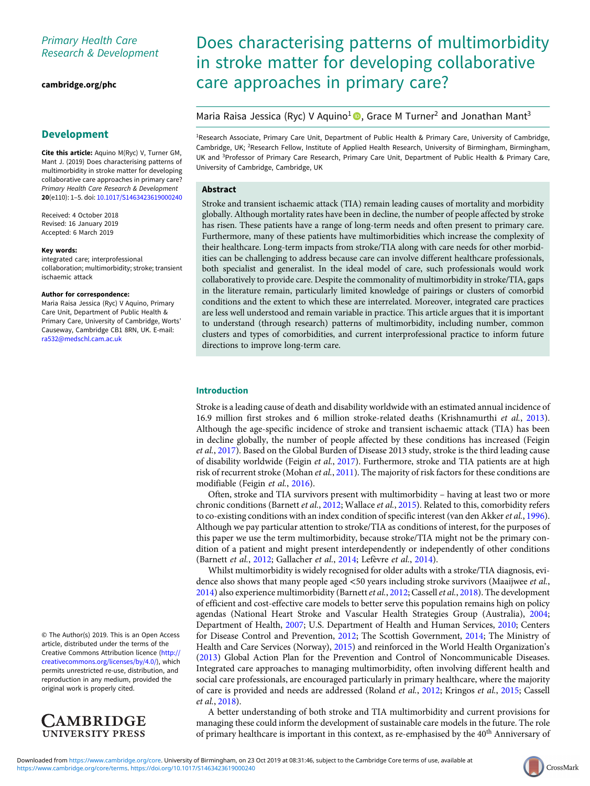## Primary Health Care Research & Development

[cambridge.org/phc](https://www.cambridge.org/phc)

### Development

Cite this article: Aquino M(Ryc) V, Turner GM, Mant J. (2019) Does characterising patterns of multimorbidity in stroke matter for developing collaborative care approaches in primary care? Primary Health Care Research & Development 20(e110): 1–5. doi: [10.1017/S1463423619000240](https://doi.org/10.1017/S1463423619000240)

Received: 4 October 2018 Revised: 16 January 2019 Accepted: 6 March 2019

#### Key words:

integrated care; interprofessional collaboration; multimorbidity; stroke; transient ischaemic attack

#### Author for correspondence:

Maria Raisa Jessica (Ryc) V Aquino, Primary Care Unit, Department of Public Health & Primary Care, University of Cambridge, Worts' Causeway, Cambridge CB1 8RN, UK. E-mail: [ra532@medschl.cam.ac.uk](mailto:ra532@medschl.cam.ac.uk)

© The Author(s) 2019. This is an Open Access article, distributed under the terms of the Creative Commons Attribution licence ([http://](http://creativecommons.org/licenses/by/4.0/) [creativecommons.org/licenses/by/4.0/\)](http://creativecommons.org/licenses/by/4.0/), which permits unrestricted re-use, distribution, and reproduction in any medium, provided the original work is properly cited.



# Does characterising patterns of multimorbidity in stroke matter for developing collaborative care approaches in primary care?

### Maria Raisa Jessica (Ryc) V Aquino<sup>1</sup>  $\bullet$ , Grace M Turner<sup>2</sup> and Jonathan Mant<sup>3</sup>

<sup>1</sup>Research Associate, Primary Care Unit, Department of Public Health & Primary Care, University of Cambridge, Cambridge, UK; <sup>2</sup>Research Fellow, Institute of Applied Health Research, University of Birmingham, Birmingham, UK and <sup>3</sup>Professor of Primary Care Research, Primary Care Unit, Department of Public Health & Primary Care, University of Cambridge, Cambridge, UK

#### Abstract

Stroke and transient ischaemic attack (TIA) remain leading causes of mortality and morbidity globally. Although mortality rates have been in decline, the number of people affected by stroke has risen. These patients have a range of long-term needs and often present to primary care. Furthermore, many of these patients have multimorbidities which increase the complexity of their healthcare. Long-term impacts from stroke/TIA along with care needs for other morbidities can be challenging to address because care can involve different healthcare professionals, both specialist and generalist. In the ideal model of care, such professionals would work collaboratively to provide care. Despite the commonality of multimorbidity in stroke/TIA, gaps in the literature remain, particularly limited knowledge of pairings or clusters of comorbid conditions and the extent to which these are interrelated. Moreover, integrated care practices are less well understood and remain variable in practice. This article argues that it is important to understand (through research) patterns of multimorbidity, including number, common clusters and types of comorbidities, and current interprofessional practice to inform future directions to improve long-term care.

#### Introduction

Stroke is a leading cause of death and disability worldwide with an estimated annual incidence of 16.9 million first strokes and 6 million stroke-related deaths (Krishnamurthi et al., [2013\)](#page-5-0). Although the age-specific incidence of stroke and transient ischaemic attack (TIA) has been in decline globally, the number of people affected by these conditions has increased (Feigin et al., [2017](#page-4-0)). Based on the Global Burden of Disease 2013 study, stroke is the third leading cause of disability worldwide (Feigin et al., [2017\)](#page-4-0). Furthermore, stroke and TIA patients are at high risk of recurrent stroke (Mohan et al., [2011](#page-5-0)). The majority of risk factors for these conditions are modifiable (Feigin et al., [2016\)](#page-4-0).

Often, stroke and TIA survivors present with multimorbidity – having at least two or more chronic conditions (Barnett et al., [2012](#page-4-0); Wallace et al., [2015](#page-5-0)). Related to this, comorbidity refers to co-existing conditions with an index condition of specific interest (van den Akker et al., [1996\)](#page-5-0). Although we pay particular attention to stroke/TIA as conditions of interest, for the purposes of this paper we use the term multimorbidity, because stroke/TIA might not be the primary condition of a patient and might present interdependently or independently of other conditions (Barnett et al., [2012;](#page-4-0) Gallacher et al., [2014;](#page-4-0) Lefèvre et al., [2014\)](#page-5-0).

Whilst multimorbidity is widely recognised for older adults with a stroke/TIA diagnosis, evidence also shows that many people aged <50 years including stroke survivors (Maaijwee et al., [2014](#page-5-0)) also experience multimorbidity (Barnett et al., [2012;](#page-4-0) Cassell et al., [2018](#page-4-0)). The development of efficient and cost-effective care models to better serve this population remains high on policy agendas (National Heart Stroke and Vascular Health Strategies Group (Australia), [2004;](#page-5-0) Department of Health, [2007](#page-4-0); U.S. Department of Health and Human Services, [2010;](#page-5-0) Centers for Disease Control and Prevention, [2012;](#page-4-0) The Scottish Government, [2014;](#page-5-0) The Ministry of Health and Care Services (Norway), [2015](#page-5-0)) and reinforced in the World Health Organization's [\(2013\)](#page-5-0) Global Action Plan for the Prevention and Control of Noncommunicable Diseases. Integrated care approaches to managing multimorbidity, often involving different health and social care professionals, are encouraged particularly in primary healthcare, where the majority of care is provided and needs are addressed (Roland et al., [2012](#page-5-0); Kringos et al., [2015;](#page-5-0) Cassell et al., [2018](#page-4-0)).

A better understanding of both stroke and TIA multimorbidity and current provisions for managing these could inform the development of sustainable care models in the future. The role of primary healthcare is important in this context, as re-emphasised by the 40<sup>th</sup> Anniversary of

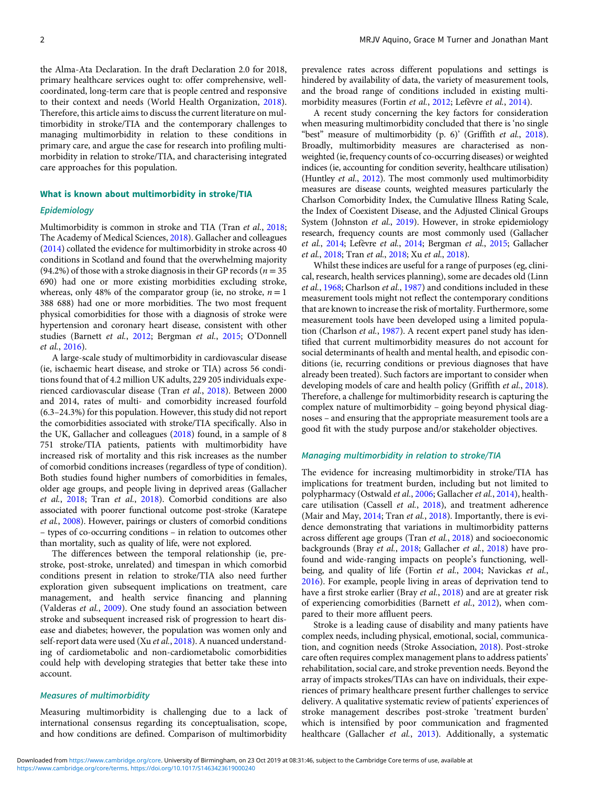the Alma-Ata Declaration. In the draft Declaration 2.0 for 2018, primary healthcare services ought to: offer comprehensive, wellcoordinated, long-term care that is people centred and responsive to their context and needs (World Health Organization, [2018](#page-5-0)). Therefore, this article aims to discuss the current literature on multimorbidity in stroke/TIA and the contemporary challenges to managing multimorbidity in relation to these conditions in primary care, and argue the case for research into profiling multimorbidity in relation to stroke/TIA, and characterising integrated care approaches for this population.

#### What is known about multimorbidity in stroke/TIA

#### Epidemiology

Multimorbidity is common in stroke and TIA (Tran et al., [2018](#page-5-0); The Academy of Medical Sciences, [2018\)](#page-5-0). Gallacher and colleagues ([2014](#page-4-0)) collated the evidence for multimorbidity in stroke across 40 conditions in Scotland and found that the overwhelming majority (94.2%) of those with a stroke diagnosis in their GP records ( $n = 35$ ) 690) had one or more existing morbidities excluding stroke, whereas, only 48% of the comparator group (ie, no stroke,  $n = 1$ 388 688) had one or more morbidities. The two most frequent physical comorbidities for those with a diagnosis of stroke were hypertension and coronary heart disease, consistent with other studies (Barnett et al., [2012](#page-4-0); Bergman et al., [2015](#page-4-0); O'Donnell et al., [2016](#page-5-0)).

A large-scale study of multimorbidity in cardiovascular disease (ie, ischaemic heart disease, and stroke or TIA) across 56 conditions found that of 4.2 million UK adults, 229 205 individuals experienced cardiovascular disease (Tran et al., [2018](#page-5-0)). Between 2000 and 2014, rates of multi- and comorbidity increased fourfold (6.3–24.3%) for this population. However, this study did not report the comorbidities associated with stroke/TIA specifically. Also in the UK, Gallacher and colleagues ([2018](#page-4-0)) found, in a sample of 8 751 stroke/TIA patients, patients with multimorbidity have increased risk of mortality and this risk increases as the number of comorbid conditions increases (regardless of type of condition). Both studies found higher numbers of comorbidities in females, older age groups, and people living in deprived areas (Gallacher et al., [2018;](#page-4-0) Tran et al., [2018](#page-5-0)). Comorbid conditions are also associated with poorer functional outcome post-stroke (Karatepe et al., [2008](#page-4-0)). However, pairings or clusters of comorbid conditions – types of co-occurring conditions – in relation to outcomes other than mortality, such as quality of life, were not explored.

The differences between the temporal relationship (ie, prestroke, post-stroke, unrelated) and timespan in which comorbid conditions present in relation to stroke/TIA also need further exploration given subsequent implications on treatment, care management, and health service financing and planning (Valderas et al., [2009\)](#page-5-0). One study found an association between stroke and subsequent increased risk of progression to heart disease and diabetes; however, the population was women only and self-report data were used (Xu et al., [2018\)](#page-5-0). A nuanced understanding of cardiometabolic and non-cardiometabolic comorbidities could help with developing strategies that better take these into account.

#### Measures of multimorbidity

Measuring multimorbidity is challenging due to a lack of international consensus regarding its conceptualisation, scope, and how conditions are defined. Comparison of multimorbidity

prevalence rates across different populations and settings is hindered by availability of data, the variety of measurement tools, and the broad range of conditions included in existing multimorbidity measures (Fortin et al., [2012;](#page-4-0) Lefèvre et al., [2014\)](#page-5-0).

A recent study concerning the key factors for consideration when measuring multimorbidity concluded that there is 'no single "best" measure of multimorbidity (p. 6)' (Griffith et al., [2018](#page-4-0)). Broadly, multimorbidity measures are characterised as nonweighted (ie, frequency counts of co-occurring diseases) or weighted indices (ie, accounting for condition severity, healthcare utilisation) (Huntley et al., [2012\)](#page-4-0). The most commonly used multimorbidity measures are disease counts, weighted measures particularly the Charlson Comorbidity Index, the Cumulative Illness Rating Scale, the Index of Coexistent Disease, and the Adjusted Clinical Groups System (Johnston et al., [2019\)](#page-4-0). However, in stroke epidemiology research, frequency counts are most commonly used (Gallacher et al., [2014](#page-4-0); Lefèvre et al., [2014](#page-5-0); Bergman et al., [2015](#page-4-0); Gallacher et al., [2018;](#page-4-0) Tran et al., [2018](#page-5-0); Xu et al., [2018\)](#page-5-0).

Whilst these indices are useful for a range of purposes (eg, clinical, research, health services planning), some are decades old (Linn et al., [1968;](#page-5-0) Charlson et al., [1987\)](#page-4-0) and conditions included in these measurement tools might not reflect the contemporary conditions that are known to increase the risk of mortality. Furthermore, some measurement tools have been developed using a limited popula-tion (Charlson et al., [1987\)](#page-4-0). A recent expert panel study has identified that current multimorbidity measures do not account for social determinants of health and mental health, and episodic conditions (ie, recurring conditions or previous diagnoses that have already been treated). Such factors are important to consider when developing models of care and health policy (Griffith et al., [2018](#page-4-0)). Therefore, a challenge for multimorbidity research is capturing the complex nature of multimorbidity – going beyond physical diagnoses – and ensuring that the appropriate measurement tools are a good fit with the study purpose and/or stakeholder objectives.

#### Managing multimorbidity in relation to stroke/TIA

The evidence for increasing multimorbidity in stroke/TIA has implications for treatment burden, including but not limited to polypharmacy (Ostwald et al., [2006](#page-5-0); Gallacher et al., [2014](#page-4-0)), healthcare utilisation (Cassell et al., [2018](#page-4-0)), and treatment adherence (Mair and May, [2014;](#page-5-0) Tran et al., [2018](#page-5-0)). Importantly, there is evidence demonstrating that variations in multimorbidity patterns across different age groups (Tran et al., [2018\)](#page-5-0) and socioeconomic backgrounds (Bray et al., [2018;](#page-4-0) Gallacher et al., [2018\)](#page-4-0) have profound and wide-ranging impacts on people's functioning, well-being, and quality of life (Fortin et al., [2004;](#page-4-0) Navickas et al., [2016\)](#page-5-0). For example, people living in areas of deprivation tend to have a first stroke earlier (Bray et al., [2018\)](#page-4-0) and are at greater risk of experiencing comorbidities (Barnett et al., [2012\)](#page-4-0), when compared to their more affluent peers.

Stroke is a leading cause of disability and many patients have complex needs, including physical, emotional, social, communication, and cognition needs (Stroke Association, [2018](#page-5-0)). Post-stroke care often requires complex management plans to address patients' rehabilitation, social care, and stroke prevention needs. Beyond the array of impacts strokes/TIAs can have on individuals, their experiences of primary healthcare present further challenges to service delivery. A qualitative systematic review of patients' experiences of stroke management describes post-stroke 'treatment burden' which is intensified by poor communication and fragmented healthcare (Gallacher et al., [2013\)](#page-4-0). Additionally, a systematic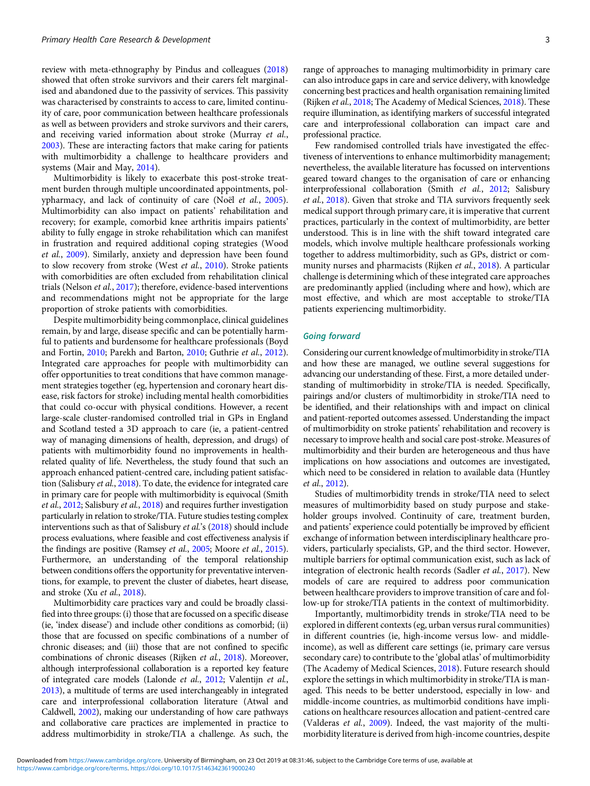review with meta-ethnography by Pindus and colleagues [\(2018\)](#page-5-0) showed that often stroke survivors and their carers felt marginalised and abandoned due to the passivity of services. This passivity was characterised by constraints to access to care, limited continuity of care, poor communication between healthcare professionals as well as between providers and stroke survivors and their carers, and receiving varied information about stroke (Murray et al., [2003](#page-5-0)). These are interacting factors that make caring for patients with multimorbidity a challenge to healthcare providers and systems (Mair and May, [2014](#page-5-0)).

Multimorbidity is likely to exacerbate this post-stroke treatment burden through multiple uncoordinated appointments, polypharmacy, and lack of continuity of care (Noël et al., [2005\)](#page-5-0). Multimorbidity can also impact on patients' rehabilitation and recovery; for example, comorbid knee arthritis impairs patients' ability to fully engage in stroke rehabilitation which can manifest in frustration and required additional coping strategies (Wood et al., [2009](#page-5-0)). Similarly, anxiety and depression have been found to slow recovery from stroke (West et al., [2010](#page-5-0)). Stroke patients with comorbidities are often excluded from rehabilitation clinical trials (Nelson et al., [2017](#page-5-0)); therefore, evidence-based interventions and recommendations might not be appropriate for the large proportion of stroke patients with comorbidities.

Despite multimorbidity being commonplace, clinical guidelines remain, by and large, disease specific and can be potentially harmful to patients and burdensome for healthcare professionals (Boyd and Fortin, [2010;](#page-4-0) Parekh and Barton, [2010;](#page-5-0) Guthrie et al., [2012\)](#page-4-0). Integrated care approaches for people with multimorbidity can offer opportunities to treat conditions that have common management strategies together (eg, hypertension and coronary heart disease, risk factors for stroke) including mental health comorbidities that could co-occur with physical conditions. However, a recent large-scale cluster-randomised controlled trial in GPs in England and Scotland tested a 3D approach to care (ie, a patient-centred way of managing dimensions of health, depression, and drugs) of patients with multimorbidity found no improvements in healthrelated quality of life. Nevertheless, the study found that such an approach enhanced patient-centred care, including patient satisfaction (Salisbury et al., [2018\)](#page-5-0). To date, the evidence for integrated care in primary care for people with multimorbidity is equivocal (Smith et al., [2012;](#page-5-0) Salisbury et al., [2018\)](#page-5-0) and requires further investigation particularly in relation to stroke/TIA. Future studies testing complex interventions such as that of Salisbury et al.'s [\(2018\)](#page-5-0) should include process evaluations, where feasible and cost effectiveness analysis if the findings are positive (Ramsey et al., [2005;](#page-5-0) Moore et al., [2015\)](#page-5-0). Furthermore, an understanding of the temporal relationship between conditions offers the opportunity for preventative interventions, for example, to prevent the cluster of diabetes, heart disease, and stroke (Xu et al., [2018](#page-5-0)).

Multimorbidity care practices vary and could be broadly classified into three groups: (i) those that are focussed on a specific disease (ie, 'index disease') and include other conditions as comorbid; (ii) those that are focussed on specific combinations of a number of chronic diseases; and (iii) those that are not confined to specific combinations of chronic diseases (Rijken et al., [2018\)](#page-5-0). Moreover, although interprofessional collaboration is a reported key feature of integrated care models (Lalonde et al., [2012](#page-5-0); Valentijn et al., [2013\)](#page-5-0), a multitude of terms are used interchangeably in integrated care and interprofessional collaboration literature (Atwal and Caldwell, [2002\)](#page-4-0), making our understanding of how care pathways and collaborative care practices are implemented in practice to address multimorbidity in stroke/TIA a challenge. As such, the

range of approaches to managing multimorbidity in primary care can also introduce gaps in care and service delivery, with knowledge concerning best practices and health organisation remaining limited (Rijken et al., [2018](#page-5-0); The Academy of Medical Sciences, [2018\)](#page-5-0). These require illumination, as identifying markers of successful integrated care and interprofessional collaboration can impact care and professional practice.

Few randomised controlled trials have investigated the effectiveness of interventions to enhance multimorbidity management; nevertheless, the available literature has focussed on interventions geared toward changes to the organisation of care or enhancing interprofessional collaboration (Smith et al., [2012](#page-5-0); Salisbury et al., [2018\)](#page-5-0). Given that stroke and TIA survivors frequently seek medical support through primary care, it is imperative that current practices, particularly in the context of multimorbidity, are better understood. This is in line with the shift toward integrated care models, which involve multiple healthcare professionals working together to address multimorbidity, such as GPs, district or community nurses and pharmacists (Rijken et al., [2018\)](#page-5-0). A particular challenge is determining which of these integrated care approaches are predominantly applied (including where and how), which are most effective, and which are most acceptable to stroke/TIA patients experiencing multimorbidity.

#### Going forward

Considering our current knowledge of multimorbidity in stroke/TIA and how these are managed, we outline several suggestions for advancing our understanding of these. First, a more detailed understanding of multimorbidity in stroke/TIA is needed. Specifically, pairings and/or clusters of multimorbidity in stroke/TIA need to be identified, and their relationships with and impact on clinical and patient-reported outcomes assessed. Understanding the impact of multimorbidity on stroke patients' rehabilitation and recovery is necessary to improve health and social care post-stroke. Measures of multimorbidity and their burden are heterogeneous and thus have implications on how associations and outcomes are investigated, which need to be considered in relation to available data (Huntley et al., [2012\)](#page-4-0).

Studies of multimorbidity trends in stroke/TIA need to select measures of multimorbidity based on study purpose and stakeholder groups involved. Continuity of care, treatment burden, and patients' experience could potentially be improved by efficient exchange of information between interdisciplinary healthcare providers, particularly specialists, GP, and the third sector. However, multiple barriers for optimal communication exist, such as lack of integration of electronic health records (Sadler et al., [2017](#page-5-0)). New models of care are required to address poor communication between healthcare providers to improve transition of care and follow-up for stroke/TIA patients in the context of multimorbidity.

Importantly, multimorbidity trends in stroke/TIA need to be explored in different contexts (eg, urban versus rural communities) in different countries (ie, high-income versus low- and middleincome), as well as different care settings (ie, primary care versus secondary care) to contribute to the 'global atlas' of multimorbidity (The Academy of Medical Sciences, [2018\)](#page-5-0). Future research should explore the settings in which multimorbidity in stroke/TIA is managed. This needs to be better understood, especially in low- and middle-income countries, as multimorbid conditions have implications on healthcare resources allocation and patient-centred care (Valderas et al., [2009\)](#page-5-0). Indeed, the vast majority of the multimorbidity literature is derived from high-income countries, despite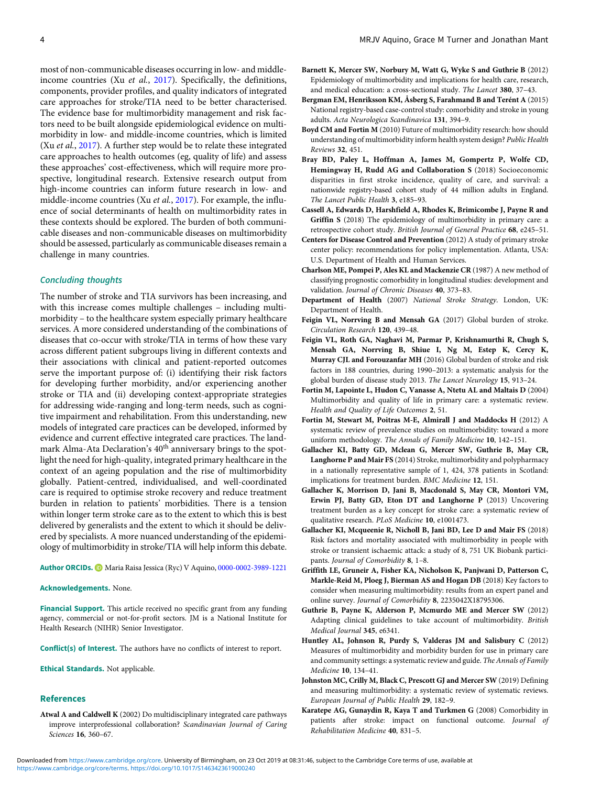<span id="page-4-0"></span>most of non-communicable diseases occurring in low- and middleincome countries (Xu et al., [2017\)](#page-5-0). Specifically, the definitions, components, provider profiles, and quality indicators of integrated care approaches for stroke/TIA need to be better characterised. The evidence base for multimorbidity management and risk factors need to be built alongside epidemiological evidence on multimorbidity in low- and middle-income countries, which is limited (Xu et al., [2017\)](#page-5-0). A further step would be to relate these integrated care approaches to health outcomes (eg, quality of life) and assess these approaches' cost-effectiveness, which will require more prospective, longitudinal research. Extensive research output from high-income countries can inform future research in low- and middle-income countries (Xu et al., [2017](#page-5-0)). For example, the influence of social determinants of health on multimorbidity rates in these contexts should be explored. The burden of both communicable diseases and non-communicable diseases on multimorbidity should be assessed, particularly as communicable diseases remain a challenge in many countries.

#### Concluding thoughts

The number of stroke and TIA survivors has been increasing, and with this increase comes multiple challenges – including multimorbidity – to the healthcare system especially primary healthcare services. A more considered understanding of the combinations of diseases that co-occur with stroke/TIA in terms of how these vary across different patient subgroups living in different contexts and their associations with clinical and patient-reported outcomes serve the important purpose of: (i) identifying their risk factors for developing further morbidity, and/or experiencing another stroke or TIA and (ii) developing context-appropriate strategies for addressing wide-ranging and long-term needs, such as cognitive impairment and rehabilitation. From this understanding, new models of integrated care practices can be developed, informed by evidence and current effective integrated care practices. The landmark Alma-Ata Declaration's 40<sup>th</sup> anniversary brings to the spotlight the need for high-quality, integrated primary healthcare in the context of an ageing population and the rise of multimorbidity globally. Patient-centred, individualised, and well-coordinated care is required to optimise stroke recovery and reduce treatment burden in relation to patients' morbidities. There is a tension within longer term stroke care as to the extent to which this is best delivered by generalists and the extent to which it should be delivered by specialists. A more nuanced understanding of the epidemiology of multimorbidity in stroke/TIA will help inform this debate.

Author ORCIDs. Maria Raisa Jessica (Ryc) V Aquino, [0000-0002-3989-1221](https://orcid.org/0000-0002-3989-1221)

#### Acknowledgements. None.

Financial Support. This article received no specific grant from any funding agency, commercial or not-for-profit sectors. JM is a National Institute for Health Research (NIHR) Senior Investigator.

Conflict(s) of Interest. The authors have no conflicts of interest to report.

Ethical Standards. Not applicable.

#### References

Atwal A and Caldwell K (2002) Do multidisciplinary integrated care pathways improve interprofessional collaboration? Scandinavian Journal of Caring Sciences 16, 360–67.

- Barnett K, Mercer SW, Norbury M, Watt G, Wyke S and Guthrie B (2012) Epidemiology of multimorbidity and implications for health care, research, and medical education: a cross-sectional study. The Lancet 380, 37–43.
- Bergman EM, Henriksson KM, Åsberg S, Farahmand B and Terént A (2015) National registry-based case-control study: comorbidity and stroke in young adults. Acta Neurologica Scandinavica 131, 394–9.
- Boyd CM and Fortin M (2010) Future of multimorbidity research: how should understanding of multimorbidity inform health system design? Public Health Reviews 32, 451.
- Bray BD, Paley L, Hoffman A, James M, Gompertz P, Wolfe CD, Hemingway H, Rudd AG and Collaboration S (2018) Socioeconomic disparities in first stroke incidence, quality of care, and survival: a nationwide registry-based cohort study of 44 million adults in England. The Lancet Public Health 3, e185–93.
- Cassell A, Edwards D, Harshfield A, Rhodes K, Brimicombe J, Payne R and Griffin S (2018) The epidemiology of multimorbidity in primary care: a retrospective cohort study. British Journal of General Practice 68, e245–51.
- Centers for Disease Control and Prevention (2012) A study of primary stroke center policy: recommendations for policy implementation. Atlanta, USA: U.S. Department of Health and Human Services.
- Charlson ME, Pompei P, Ales KL and Mackenzie CR (1987) A new method of classifying prognostic comorbidity in longitudinal studies: development and validation. Journal of Chronic Diseases 40, 373–83.
- Department of Health (2007) National Stroke Strategy. London, UK: Department of Health.
- Feigin VL, Norrving B and Mensah GA (2017) Global burden of stroke. Circulation Research 120, 439–48.
- Feigin VL, Roth GA, Naghavi M, Parmar P, Krishnamurthi R, Chugh S, Mensah GA, Norrving B, Shiue I, Ng M, Estep K, Cercy K, Murray CJL and Forouzanfar MH (2016) Global burden of stroke and risk factors in 188 countries, during 1990–2013: a systematic analysis for the global burden of disease study 2013. The Lancet Neurology 15, 913–24.
- Fortin M, Lapointe L, Hudon C, Vanasse A, Ntetu AL and Maltais D (2004) Multimorbidity and quality of life in primary care: a systematic review. Health and Quality of Life Outcomes 2, 51.
- Fortin M, Stewart M, Poitras M-E, Almirall J and Maddocks H (2012) A systematic review of prevalence studies on multimorbidity: toward a more uniform methodology. The Annals of Family Medicine 10, 142–151.
- Gallacher KI, Batty GD, Mclean G, Mercer SW, Guthrie B, May CR, Langhorne P and Mair FS (2014) Stroke, multimorbidity and polypharmacy in a nationally representative sample of 1, 424, 378 patients in Scotland: implications for treatment burden. BMC Medicine 12, 151.
- Gallacher K, Morrison D, Jani B, Macdonald S, May CR, Montori VM, Erwin PJ, Batty GD, Eton DT and Langhorne P (2013) Uncovering treatment burden as a key concept for stroke care: a systematic review of qualitative research. PLoS Medicine 10, e1001473.
- Gallacher KI, Mcqueenie R, Nicholl B, Jani BD, Lee D and Mair FS (2018) Risk factors and mortality associated with multimorbidity in people with stroke or transient ischaemic attack: a study of 8, 751 UK Biobank participants. Journal of Comorbidity 8, 1–8.
- Griffith LE, Gruneir A, Fisher KA, Nicholson K, Panjwani D, Patterson C, Markle-Reid M, Ploeg J, Bierman AS and Hogan DB (2018) Key factors to consider when measuring multimorbidity: results from an expert panel and online survey. Journal of Comorbidity 8, 2235042X18795306.
- Guthrie B, Payne K, Alderson P, Mcmurdo ME and Mercer SW (2012) Adapting clinical guidelines to take account of multimorbidity. British Medical Journal 345, e6341.
- Huntley AL, Johnson R, Purdy S, Valderas JM and Salisbury C (2012) Measures of multimorbidity and morbidity burden for use in primary care and community settings: a systematic review and guide. The Annals of Family Medicine 10, 134–41.
- Johnston MC, Crilly M, Black C, Prescott GJ and Mercer SW (2019) Defining and measuring multimorbidity: a systematic review of systematic reviews. European Journal of Public Health 29, 182–9.
- Karatepe AG, Gunaydin R, Kaya T and Turkmen G (2008) Comorbidity in patients after stroke: impact on functional outcome. Journal of Rehabilitation Medicine 40, 831–5.